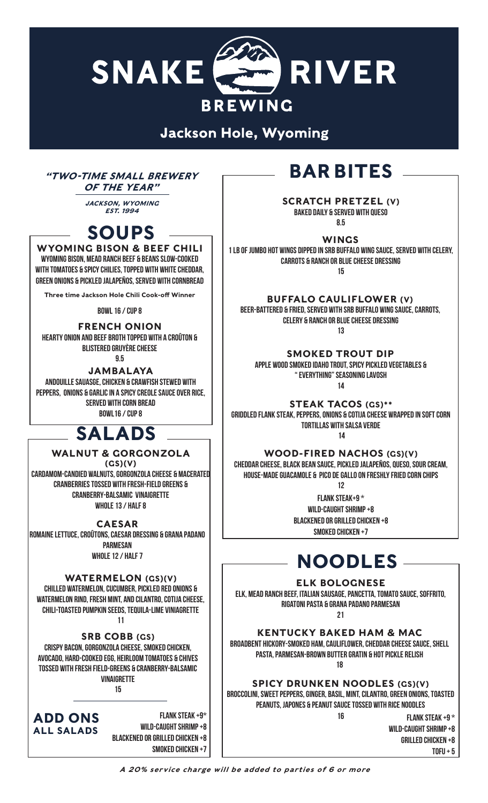

**Jackson Hole, Wyoming** 

## $T_{T}$   $T_{T}$   $T_{T}$   $T_{S}$   $T_{S}$   $T_{S}$   $T_{S}$   $T_{S}$   $T_{S}$   $T_{S}$   $T_{S}$   $T_{S}$   $T_{S}$   $T_{S}$   $T_{S}$   $T_{S}$   $T_{S}$   $T_{S}$   $T_{S}$   $T_{S}$   $T_{S}$   $T_{S}$   $T_{S}$   $T_{S}$   $T_{S}$   $T_{S}$   $T_{S}$   $T_{S}$   $T_{S}$   $T_{S}$   $T_{S}$   $T_{S$ OF THE YEAR"

JACKSON, WYOMING EST. 1994

# SOUPS

WYOMING BISON & BEEF CHILI **Wyoming bison, Mead Ranch beef & beans slow-cooked with tomatoes & spicy chiliEs, topped with white cheddar, green onions & pickled jalapeños, served with cornbread**

Three time Jackson Hole Chili Cook-off Winner

**Bowl 16 / Cup 8**

#### FRENCH ONION **Hearty onion and beef broth topped with a croûton & blistered gruyère cheese**

**9.5**

JAMBALAYA

**Andouille sauasge, chicken & crawfish stewed with peppers, onions & garlic in a spicy creole sauce over rice, served with corn bread BOWL16 / CUp 8**

## WALNUT & GORGONZOLA

(GS)(V) **Cardamom-Candied walnuts, Gorgonzola cheese & macerated cranberries tossed with fresh-field greens & CranBerry-balsamic vinaigrette WHOLE 13 / HALF 8**

CAESAR

**Romaine lettuce, croûtons, caesar dressing & Grana Padano Parmesan WHOLE 12 / HALF 7**

### WATERMELON (GS)(V)

**Chilled watermelon, cucumber, pickled red onions & watermelon rind, fresh mint, and cilantro, cotija cheese, Chili-toasted pumpkin seeds, tequila-lime viniagrette 11**

SRB COBB (GS)

**Crispy bacon, gorgonzola cheese, smoked chicken, avocado, hard-cooked egg, heirloom tomatoes & chives tossed with fresh field-greens & CranBerry-balsamic vinaigrette**

**15**

ADD ONS ALL SALADS

 **Flank Steak +9\* Wild-CAught shrimp +8 Blackened or grilled chicken +8 Smoked chicken +7**

SCRATCH PRETZEL (V) **Baked daily & served with queso 8.5**

WINGS **1 LB of Jumbo hot wings dipped in SRb Buffalo wing sauce, served with celery, carrots & ranch or blue cheese dressing 15**

BUFFALO CAULIFLOWER (V) **Beer-battered & fried, served with SRB buffalo wing sauce, carrots, celery & ranch or blue cheese dressing**

**13**

SMOKED TROUT DIP **Apple wood smoked Idaho trout, Spicy pickled vegetables & " Everything" seasoning lavosh 14**

STEAK TACOS (GS)\*\* **Griddled flank steak, peppers, onions & cotija cheese wrapped in soft corn**  TORTILLAS WITH SALSA VERDE<br>**SALADS** 

> WOOD-FIRED NACHOS (GS)(V) **Cheddar cheese, black bean sauce, pickled jalapeños, queso, sour cream, house-made guacamole & pico de gallo on freshly fried corn chips**

> > **12 Flank Steak+9 \* Wild-CAught shrimp +8 Blackened or grilled chicken +8**

**Smoked chicken +7**

# NOODLES

### ELK BOLOGNESE

**Elk, Mead Ranch Beef, Italian sausage, pancetta, tomato sauce, soffrito, rigatoni pasta & Grana Padano parmesan** 

**21**

KENTUCKY BAKED HAM & MAC **Broadbent HICKORY-SMOKED ham, cauliflower, Cheddar cheese sauce, Shell pasta, Parmesan-brown butter gratin & hot pickle relish** 

**18**

SPICY DRUNKEN NOODLES (GS)(V) **Broccolini, sweet peppers, ginger, basil, mint, cilantro, green onions, toasted peanuts, Japones & peanut sauce tossed with Rice noodles** 

**16**

**Flank steak +9 \* Wild-CAught shrimp +8**

**grilled chicken +8**

**TOFU + 5**

A 20% service charge will be added to parties of 6 or more